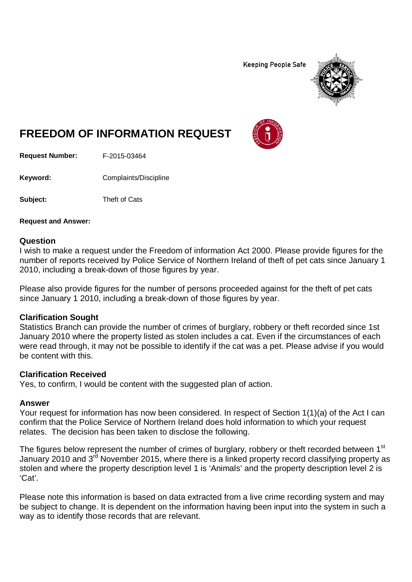**Keeping People Safe** 



# **FREEDOM OF INFORMATION REQUEST**

**Request Number:** F-2015-03464

Keyword: Complaints/Discipline

**Subject:** Theft of Cats

**Request and Answer:**

#### **Question**

I wish to make a request under the Freedom of information Act 2000. Please provide figures for the number of reports received by Police Service of Northern Ireland of theft of pet cats since January 1 2010, including a break-down of those figures by year.

Please also provide figures for the number of persons proceeded against for the theft of pet cats since January 1 2010, including a break-down of those figures by year.

## **Clarification Sought**

Statistics Branch can provide the number of crimes of burglary, robbery or theft recorded since 1st January 2010 where the property listed as stolen includes a cat. Even if the circumstances of each were read through, it may not be possible to identify if the cat was a pet. Please advise if you would be content with this.

## **Clarification Received**

Yes, to confirm, I would be content with the suggested plan of action.

#### **Answer**

Your request for information has now been considered. In respect of Section 1(1)(a) of the Act I can confirm that the Police Service of Northern Ireland does hold information to which your request relates. The decision has been taken to disclose the following.

The figures below represent the number of crimes of burglary, robbery or theft recorded between 1<sup>st</sup> January 2010 and 3<sup>rd</sup> November 2015, where there is a linked property record classifying property as stolen and where the property description level 1 is 'Animals' and the property description level 2 is 'Cat'.

Please note this information is based on data extracted from a live crime recording system and may be subject to change. It is dependent on the information having been input into the system in such a way as to identify those records that are relevant.